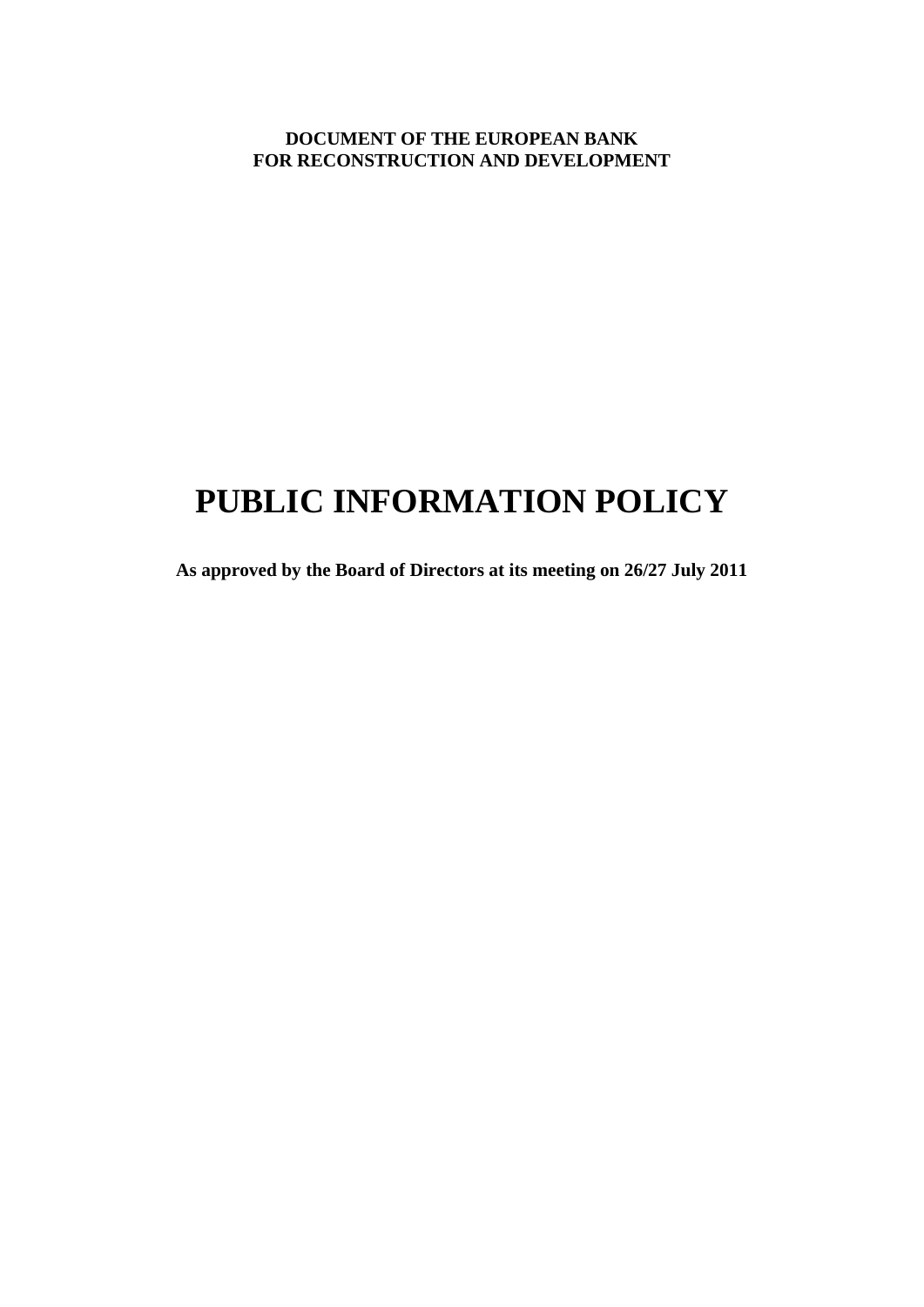**DOCUMENT OF THE EUROPEAN BANK FOR RECONSTRUCTION AND DEVELOPMENT**

# **PUBLIC INFORMATION POLICY**

**As approved by the Board of Directors at its meeting on 26/27 July 2011**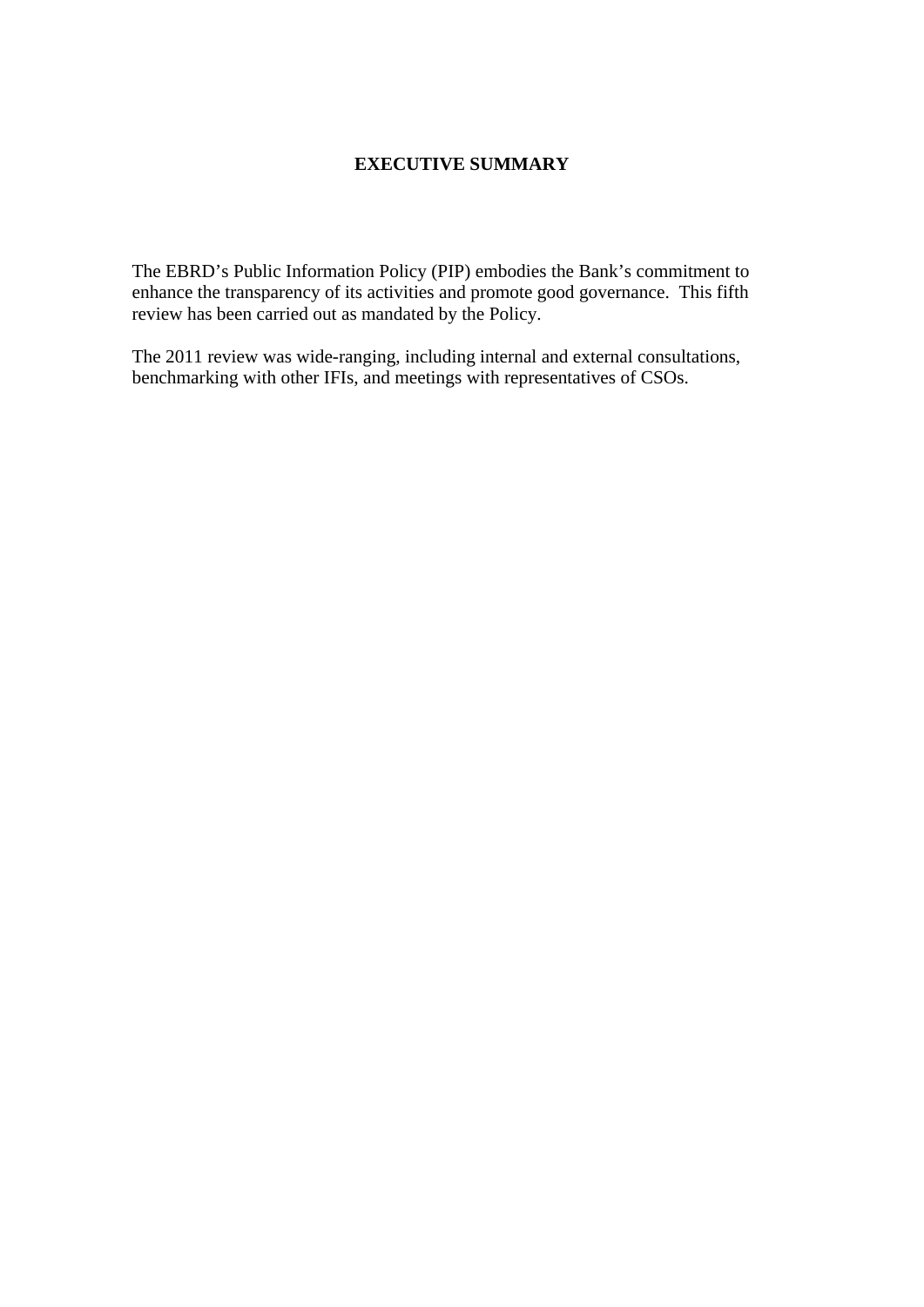## **EXECUTIVE SUMMARY**

The EBRD's Public Information Policy (PIP) embodies the Bank's commitment to enhance the transparency of its activities and promote good governance. This fifth review has been carried out as mandated by the Policy.

The 2011 review was wide-ranging, including internal and external consultations, benchmarking with other IFIs, and meetings with representatives of CSOs.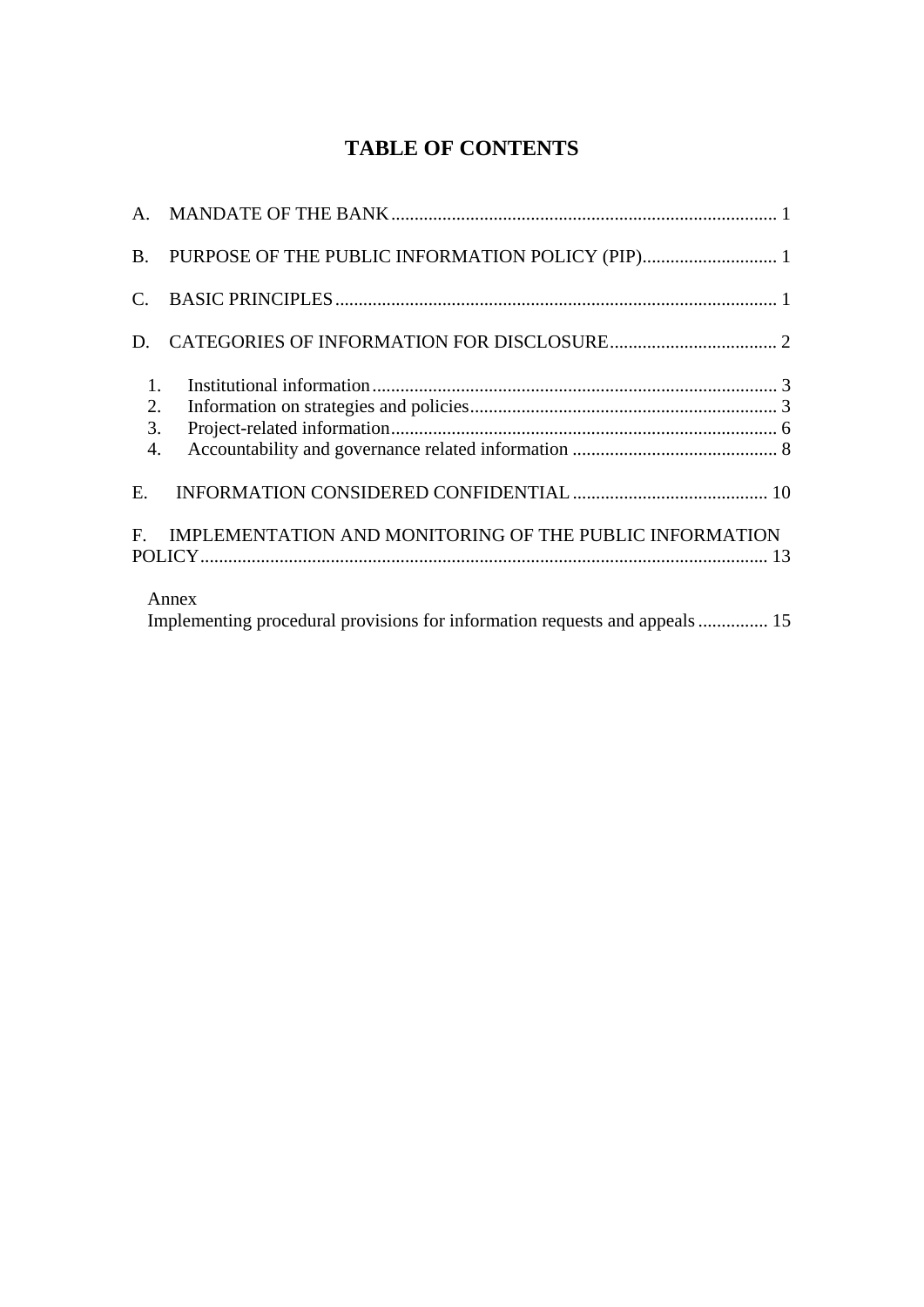## **TABLE OF CONTENTS**

| $C_{\cdot}$                        |                                                                                     |  |
|------------------------------------|-------------------------------------------------------------------------------------|--|
| D.                                 |                                                                                     |  |
| 1.<br>2.<br>3.<br>$\overline{4}$ . |                                                                                     |  |
| E.                                 |                                                                                     |  |
| $F_{\cdot}$                        | IMPLEMENTATION AND MONITORING OF THE PUBLIC INFORMATION                             |  |
|                                    | Annex<br>Implementing procedural provisions for information requests and appeals 15 |  |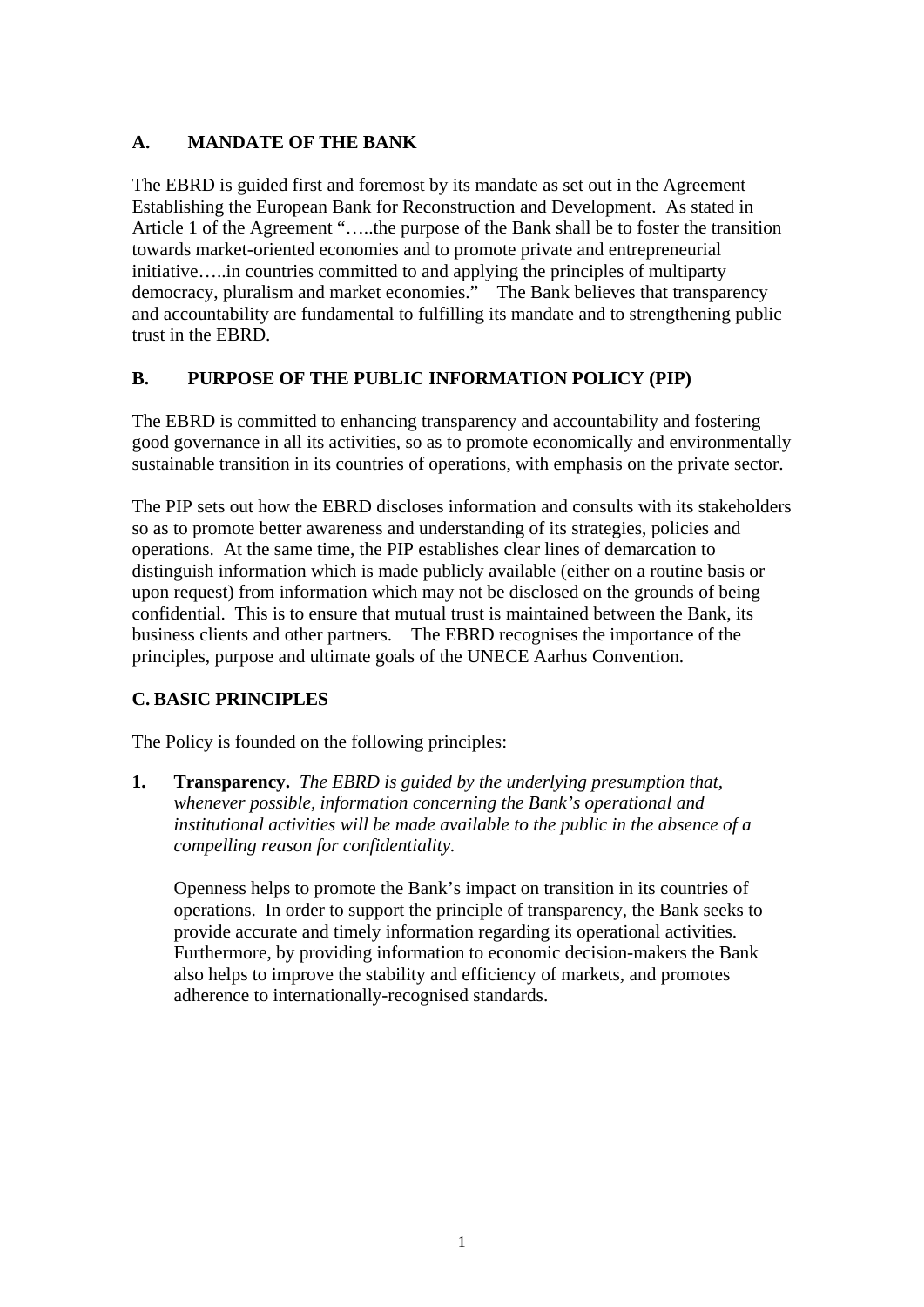## <span id="page-3-0"></span>**A. MANDATE OF THE BANK**

The EBRD is guided first and foremost by its mandate as set out in the Agreement Establishing the European Bank for Reconstruction and Development. As stated in Article 1 of the Agreement "…..the purpose of the Bank shall be to foster the transition towards market-oriented economies and to promote private and entrepreneurial initiative…..in countries committed to and applying the principles of multiparty democracy, pluralism and market economies."The Bank believes that transparency and accountability are fundamental to fulfilling its mandate and to strengthening public trust in the EBRD.

## <span id="page-3-1"></span>**B. PURPOSE OF THE PUBLIC INFORMATION POLICY (PIP)**

The EBRD is committed to enhancing transparency and accountability and fostering good governance in all its activities, so as to promote economically and environmentally sustainable transition in its countries of operations, with emphasis on the private sector.

The PIP sets out how the EBRD discloses information and consults with its stakeholders so as to promote better awareness and understanding of its strategies, policies and operations. At the same time, the PIP establishes clear lines of demarcation to distinguish information which is made publicly available (either on a routine basis or upon request) from information which may not be disclosed on the grounds of being confidential. This is to ensure that mutual trust is maintained between the Bank, its business clients and other partners. The EBRD recognises the importance of the principles, purpose and ultimate goals of the UNECE Aarhus Convention.

## <span id="page-3-2"></span>**C. BASIC PRINCIPLES**

The Policy is founded on the following principles:

**1. Transparency.** *The EBRD is guided by the underlying presumption that, whenever possible, information concerning the Bank's operational and institutional activities will be made available to the public in the absence of a compelling reason for confidentiality.* 

 Openness helps to promote the Bank's impact on transition in its countries of operations. In order to support the principle of transparency, the Bank seeks to provide accurate and timely information regarding its operational activities. Furthermore, by providing information to economic decision-makers the Bank also helps to improve the stability and efficiency of markets, and promotes adherence to internationally-recognised standards.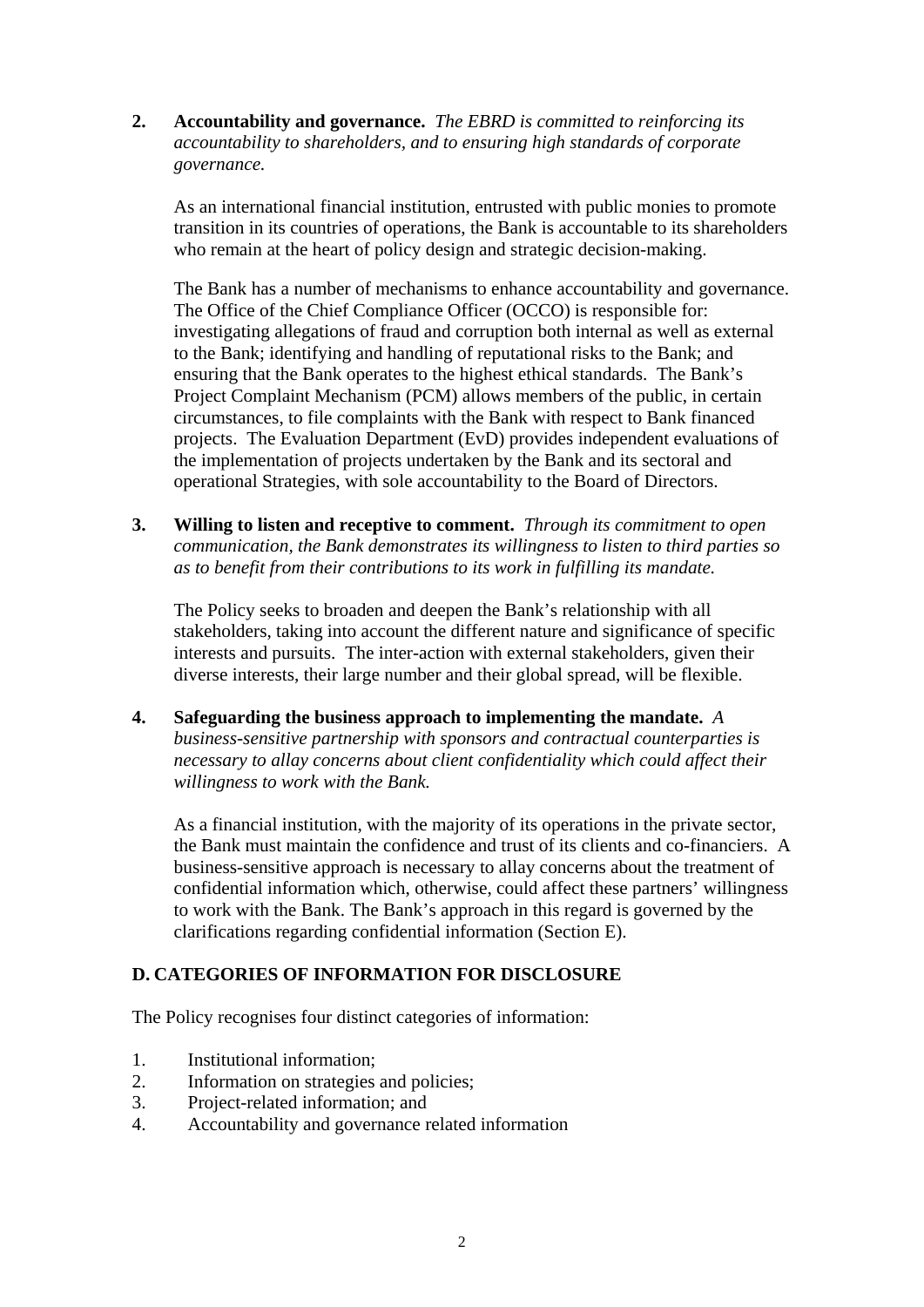**2. Accountability and governance.** *The EBRD is committed to reinforcing its accountability to shareholders, and to ensuring high standards of corporate governance.* 

 As an international financial institution, entrusted with public monies to promote transition in its countries of operations, the Bank is accountable to its shareholders who remain at the heart of policy design and strategic decision-making.

The Bank has a number of mechanisms to enhance accountability and governance. The Office of the Chief Compliance Officer (OCCO) is responsible for: investigating allegations of fraud and corruption both internal as well as external to the Bank; identifying and handling of reputational risks to the Bank; and ensuring that the Bank operates to the highest ethical standards. The Bank's Project Complaint Mechanism (PCM) allows members of the public, in certain circumstances, to file complaints with the Bank with respect to Bank financed projects. The Evaluation Department (EvD) provides independent evaluations of the implementation of projects undertaken by the Bank and its sectoral and operational Strategies, with sole accountability to the Board of Directors.

**3. Willing to listen and receptive to comment.** *Through its commitment to open communication, the Bank demonstrates its willingness to listen to third parties so as to benefit from their contributions to its work in fulfilling its mandate.* 

 The Policy seeks to broaden and deepen the Bank's relationship with all stakeholders, taking into account the different nature and significance of specific interests and pursuits. The inter-action with external stakeholders, given their diverse interests, their large number and their global spread, will be flexible.

**4. Safeguarding the business approach to implementing the mandate.** *A business-sensitive partnership with sponsors and contractual counterparties is necessary to allay concerns about client confidentiality which could affect their willingness to work with the Bank.* 

As a financial institution, with the majority of its operations in the private sector, the Bank must maintain the confidence and trust of its clients and co-financiers. A business-sensitive approach is necessary to allay concerns about the treatment of confidential information which, otherwise, could affect these partners' willingness to work with the Bank. The Bank's approach in this regard is governed by the clarifications regarding confidential information (Section E).

## <span id="page-4-0"></span>**D. CATEGORIES OF INFORMATION FOR DISCLOSURE**

The Policy recognises four distinct categories of information:

- 1. Institutional information;
- 2. Information on strategies and policies;
- 3. Project-related information; and
- 4. Accountability and governance related information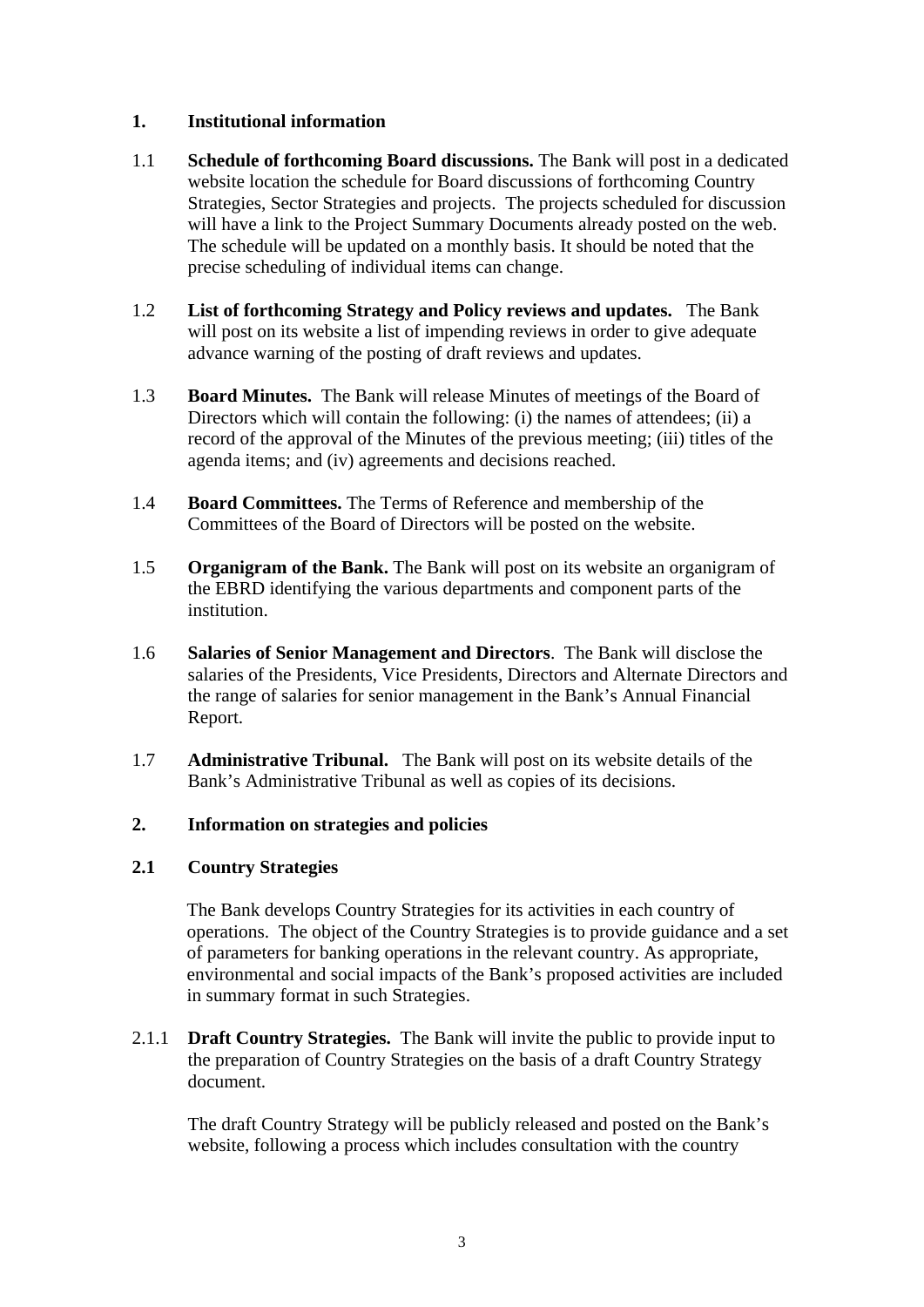## <span id="page-5-0"></span>**1. Institutional information**

- 1.1 **Schedule of forthcoming Board discussions.** The Bank will post in a dedicated website location the schedule for Board discussions of forthcoming Country Strategies, Sector Strategies and projects. The projects scheduled for discussion will have a link to the Project Summary Documents already posted on the web. The schedule will be updated on a monthly basis. It should be noted that the precise scheduling of individual items can change.
- 1.2 **List of forthcoming Strategy and Policy reviews and updates.** The Bank will post on its website a list of impending reviews in order to give adequate advance warning of the posting of draft reviews and updates.
- 1.3 **Board Minutes.** The Bank will release Minutes of meetings of the Board of Directors which will contain the following: (i) the names of attendees; (ii) a record of the approval of the Minutes of the previous meeting; (iii) titles of the agenda items; and (iv) agreements and decisions reached.
- 1.4 **Board Committees.** The Terms of Reference and membership of the Committees of the Board of Directors will be posted on the website.
- 1.5 **Organigram of the Bank.** The Bank will post on its website an organigram of the EBRD identifying the various departments and component parts of the institution.
- 1.6 **Salaries of Senior Management and Directors**. The Bank will disclose the salaries of the Presidents, Vice Presidents, Directors and Alternate Directors and the range of salaries for senior management in the Bank's Annual Financial Report.
- 1.7 **Administrative Tribunal.** The Bank will post on its website details of the Bank's Administrative Tribunal as well as copies of its decisions.

#### <span id="page-5-1"></span>**2. Information on strategies and policies**

#### **2.1 Country Strategies**

The Bank develops Country Strategies for its activities in each country of operations. The object of the Country Strategies is to provide guidance and a set of parameters for banking operations in the relevant country. As appropriate, environmental and social impacts of the Bank's proposed activities are included in summary format in such Strategies.

2.1.1 **Draft Country Strategies.** The Bank will invite the public to provide input to the preparation of Country Strategies on the basis of a draft Country Strategy document.

The draft Country Strategy will be publicly released and posted on the Bank's website, following a process which includes consultation with the country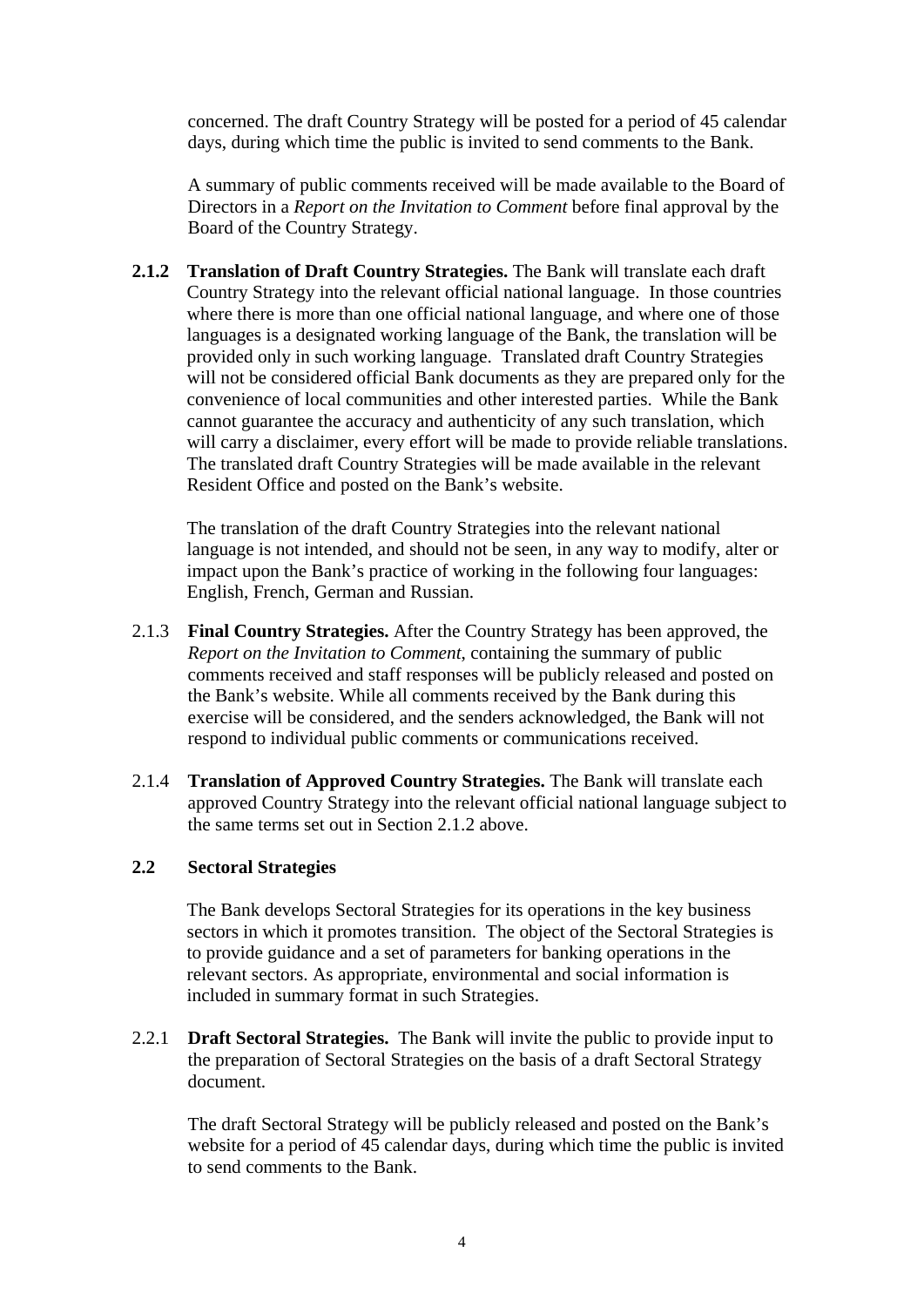concerned. The draft Country Strategy will be posted for a period of 45 calendar days, during which time the public is invited to send comments to the Bank.

 A summary of public comments received will be made available to the Board of Directors in a *Report on the Invitation to Comment* before final approval by the Board of the Country Strategy.

**2.1.2 Translation of Draft Country Strategies.** The Bank will translate each draft Country Strategy into the relevant official national language. In those countries where there is more than one official national language, and where one of those languages is a designated working language of the Bank, the translation will be provided only in such working language. Translated draft Country Strategies will not be considered official Bank documents as they are prepared only for the convenience of local communities and other interested parties. While the Bank cannot guarantee the accuracy and authenticity of any such translation, which will carry a disclaimer, every effort will be made to provide reliable translations. The translated draft Country Strategies will be made available in the relevant Resident Office and posted on the Bank's website.

The translation of the draft Country Strategies into the relevant national language is not intended, and should not be seen, in any way to modify, alter or impact upon the Bank's practice of working in the following four languages: English, French, German and Russian.

- 2.1.3 **Final Country Strategies.** After the Country Strategy has been approved, the *Report on the Invitation to Comment*, containing the summary of public comments received and staff responses will be publicly released and posted on the Bank's website. While all comments received by the Bank during this exercise will be considered, and the senders acknowledged, the Bank will not respond to individual public comments or communications received.
- 2.1.4 **Translation of Approved Country Strategies.** The Bank will translate each approved Country Strategy into the relevant official national language subject to the same terms set out in Section 2.1.2 above.

#### **2.2 Sectoral Strategies**

The Bank develops Sectoral Strategies for its operations in the key business sectors in which it promotes transition. The object of the Sectoral Strategies is to provide guidance and a set of parameters for banking operations in the relevant sectors. As appropriate, environmental and social information is included in summary format in such Strategies.

2.2.1 **Draft Sectoral Strategies.** The Bank will invite the public to provide input to the preparation of Sectoral Strategies on the basis of a draft Sectoral Strategy document.

 The draft Sectoral Strategy will be publicly released and posted on the Bank's website for a period of 45 calendar days, during which time the public is invited to send comments to the Bank.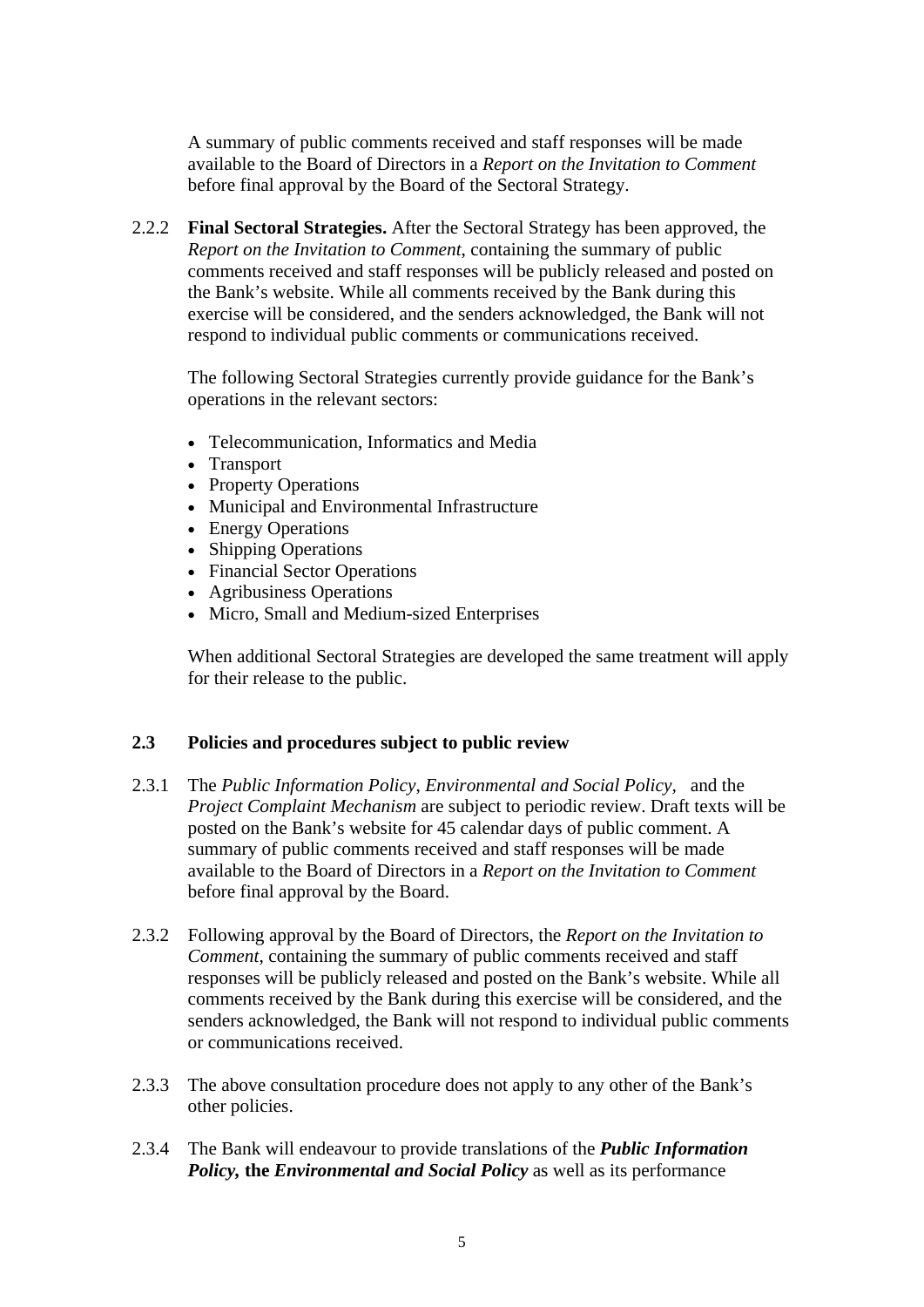A summary of public comments received and staff responses will be made available to the Board of Directors in a *Report on the Invitation to Comment*  before final approval by the Board of the Sectoral Strategy.

2.2.2 **Final Sectoral Strategies.** After the Sectoral Strategy has been approved, the *Report on the Invitation to Comment*, containing the summary of public comments received and staff responses will be publicly released and posted on the Bank's website. While all comments received by the Bank during this exercise will be considered, and the senders acknowledged, the Bank will not respond to individual public comments or communications received.

 The following Sectoral Strategies currently provide guidance for the Bank's operations in the relevant sectors:

- Telecommunication, Informatics and Media
- Transport
- Property Operations
- Municipal and Environmental Infrastructure
- Energy Operations
- Shipping Operations
- Financial Sector Operations
- Agribusiness Operations
- Micro, Small and Medium-sized Enterprises

 When additional Sectoral Strategies are developed the same treatment will apply for their release to the public.

## **2.3 Policies and procedures subject to public review**

- 2.3.1 The *Public Information Policy*, *Environmental and Social Policy,* and the *Project Complaint Mechanism* are subject to periodic review. Draft texts will be posted on the Bank's website for 45 calendar days of public comment. A summary of public comments received and staff responses will be made available to the Board of Directors in a *Report on the Invitation to Comment*  before final approval by the Board.
- 2.3.2 Following approval by the Board of Directors, the *Report on the Invitation to Comment*, containing the summary of public comments received and staff responses will be publicly released and posted on the Bank's website. While all comments received by the Bank during this exercise will be considered, and the senders acknowledged, the Bank will not respond to individual public comments or communications received.
- 2.3.3 The above consultation procedure does not apply to any other of the Bank's other policies.
- 2.3.4 The Bank will endeavour to provide translations of the *Public Information Policy, the Environmental and Social Policy* as well as its performance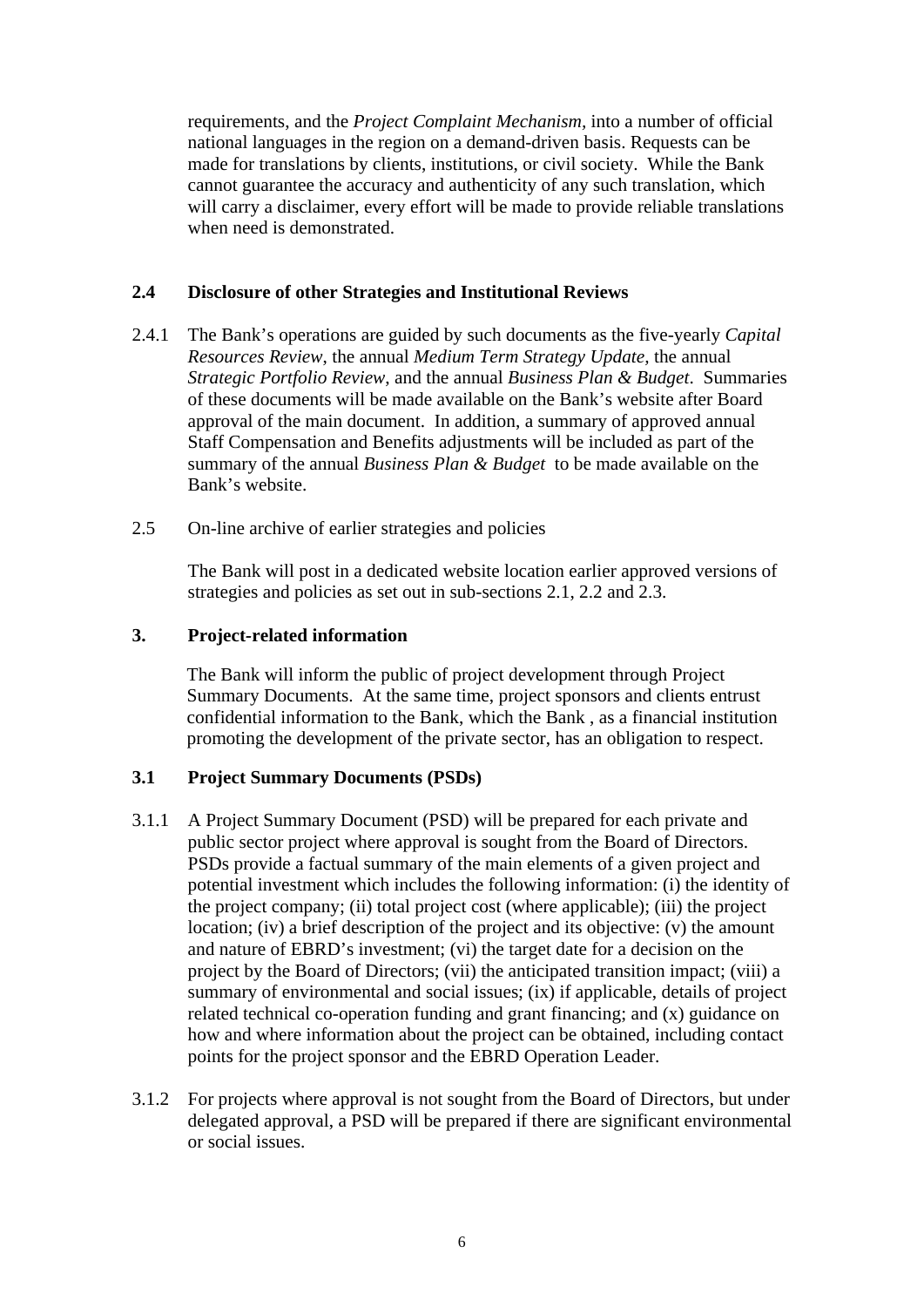requirements, and the *Project Complaint Mechanism,* into a number of official national languages in the region on a demand-driven basis. Requests can be made for translations by clients, institutions, or civil society. While the Bank cannot guarantee the accuracy and authenticity of any such translation, which will carry a disclaimer, every effort will be made to provide reliable translations when need is demonstrated.

## **2.4 Disclosure of other Strategies and Institutional Reviews**

- 2.4.1 The Bank's operations are guided by such documents as the five-yearly *Capital Resources Review*, the annual *Medium Term Strategy Update,* the annual *Strategic Portfolio Review*, and the annual *Business Plan & Budget*. Summaries of these documents will be made available on the Bank's website after Board approval of the main document. In addition, a summary of approved annual Staff Compensation and Benefits adjustments will be included as part of the summary of the annual *Business Plan & Budget* to be made available on the Bank's website.
- 2.5 On-line archive of earlier strategies and policies

 The Bank will post in a dedicated website location earlier approved versions of strategies and policies as set out in sub-sections 2.1, 2.2 and 2.3.

#### <span id="page-8-0"></span>**3.****Project***-***related information**

The Bank will inform the public of project development through Project Summary Documents. At the same time, project sponsors and clients entrust confidential information to the Bank, which the Bank , as a financial institution promoting the development of the private sector, has an obligation to respect.

## **3.1 Project Summary Documents (PSDs)**

- 3.1.1 A Project Summary Document (PSD) will be prepared for each private and public sector project where approval is sought from the Board of Directors. PSDs provide a factual summary of the main elements of a given project and potential investment which includes the following information: (i) the identity of the project company; (ii) total project cost (where applicable); (iii) the project location; (iv) a brief description of the project and its objective: (v) the amount and nature of EBRD's investment; (vi) the target date for a decision on the project by the Board of Directors; (vii) the anticipated transition impact; (viii) a summary of environmental and social issues; (ix) if applicable, details of project related technical co-operation funding and grant financing; and (x) guidance on how and where information about the project can be obtained, including contact points for the project sponsor and the EBRD Operation Leader.
- 3.1.2 For projects where approval is not sought from the Board of Directors, but under delegated approval, a PSD will be prepared if there are significant environmental or social issues.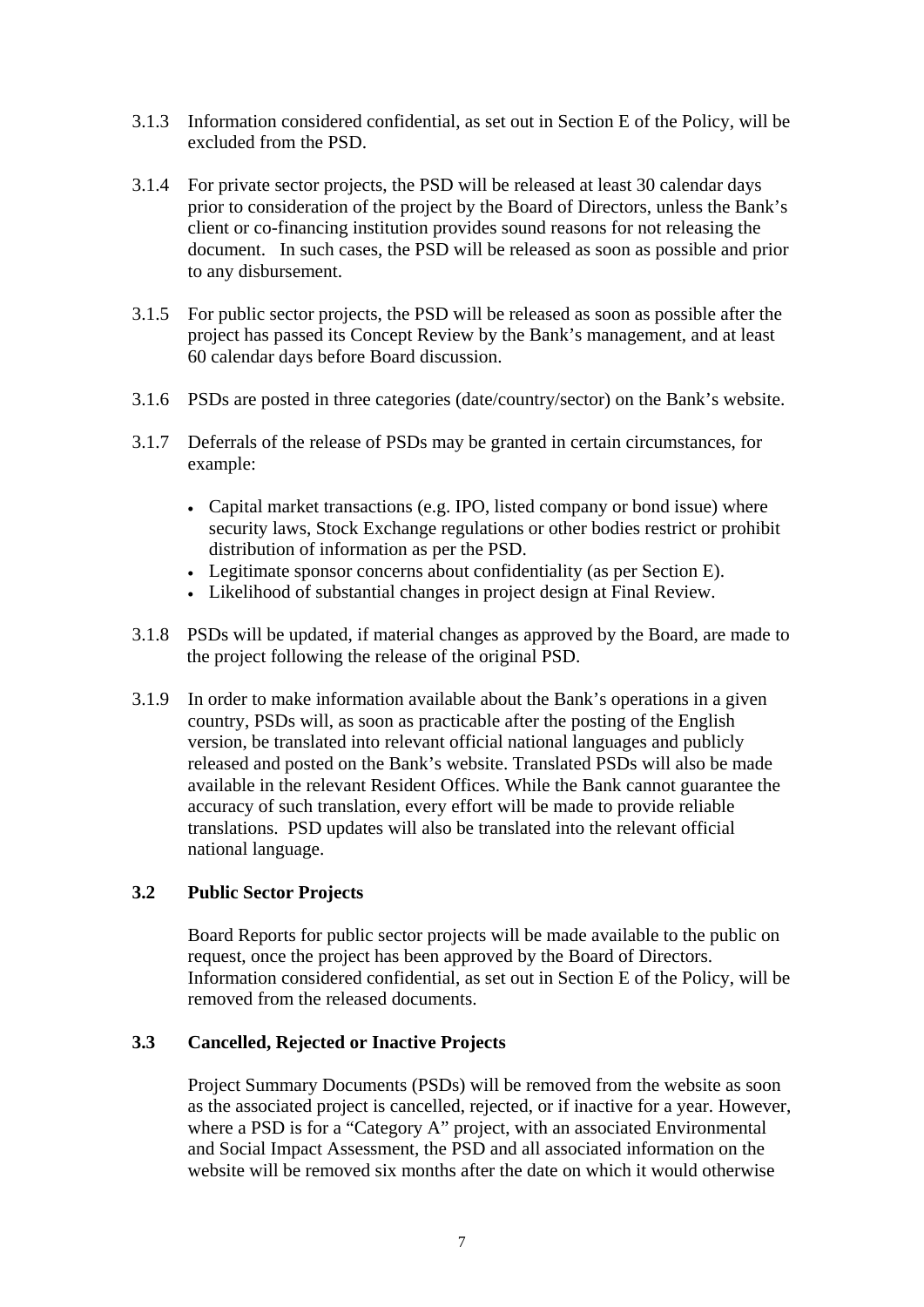- 3.1.3 Information considered confidential, as set out in Section E of the Policy, will be excluded from the PSD.
- 3.1.4 For private sector projects, the PSD will be released at least 30 calendar days prior to consideration of the project by the Board of Directors, unless the Bank's client or co-financing institution provides sound reasons for not releasing the document. In such cases, the PSD will be released as soon as possible and prior to any disbursement.
- 3.1.5 For public sector projects, the PSD will be released as soon as possible after the project has passed its Concept Review by the Bank's management, and at least 60 calendar days before Board discussion.
- 3.1.6 PSDs are posted in three categories (date/country/sector) on the Bank's website.
- 3.1.7 Deferrals of the release of PSDs may be granted in certain circumstances, for example:
	- Capital market transactions (e.g. IPO, listed company or bond issue) where security laws, Stock Exchange regulations or other bodies restrict or prohibit distribution of information as per the PSD.
	- Legitimate sponsor concerns about confidentiality (as per Section E).
	- Likelihood of substantial changes in project design at Final Review.
- 3.1.8 PSDs will be updated, if material changes as approved by the Board, are made to the project following the release of the original PSD.
- 3.1.9 In order to make information available about the Bank's operations in a given country, PSDs will, as soon as practicable after the posting of the English version, be translated into relevant official national languages and publicly released and posted on the Bank's website. Translated PSDs will also be made available in the relevant Resident Offices. While the Bank cannot guarantee the accuracy of such translation, every effort will be made to provide reliable translations. PSD updates will also be translated into the relevant official national language.

## **3.2 Public Sector Projects**

 Board Reports for public sector projects will be made available to the public on request, once the project has been approved by the Board of Directors. Information considered confidential, as set out in Section E of the Policy, will be removed from the released documents.

#### **3.3 Cancelled, Rejected or Inactive Projects**

Project Summary Documents (PSDs) will be removed from the website as soon as the associated project is cancelled, rejected, or if inactive for a year. However, where a PSD is for a "Category A" project, with an associated Environmental and Social Impact Assessment, the PSD and all associated information on the website will be removed six months after the date on which it would otherwise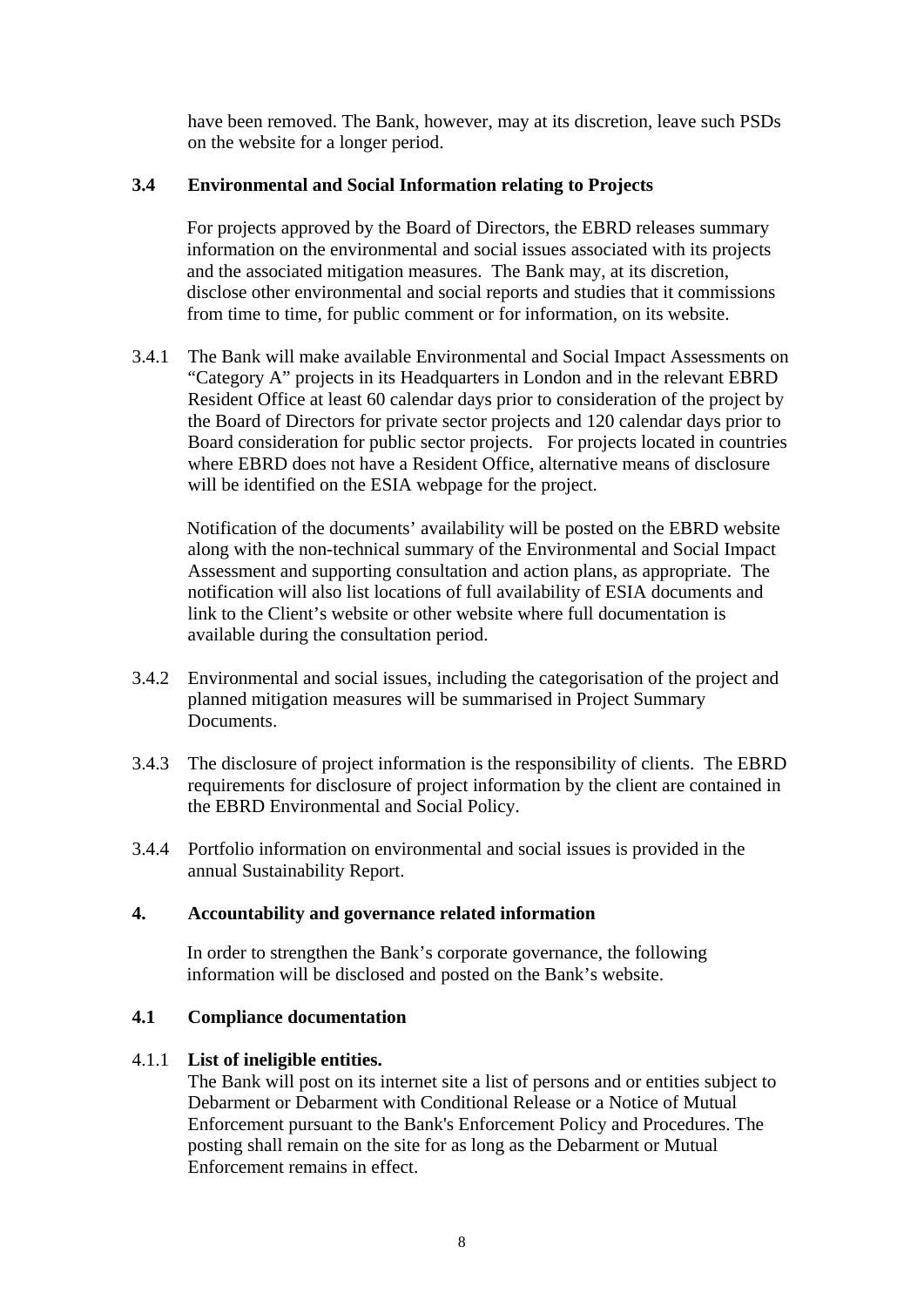have been removed. The Bank, however, may at its discretion, leave such PSDs on the website for a longer period.

## **3.4 Environmental and Social Information relating to Projects**

For projects approved by the Board of Directors, the EBRD releases summary information on the environmental and social issues associated with its projects and the associated mitigation measures. The Bank may, at its discretion, disclose other environmental and social reports and studies that it commissions from time to time, for public comment or for information, on its website.

3.4.1 The Bank will make available Environmental and Social Impact Assessments on "Category A" projects in its Headquarters in London and in the relevant EBRD Resident Office at least 60 calendar days prior to consideration of the project by the Board of Directors for private sector projects and 120 calendar days prior to Board consideration for public sector projects. For projects located in countries where EBRD does not have a Resident Office, alternative means of disclosure will be identified on the ESIA webpage for the project.

Notification of the documents' availability will be posted on the EBRD website along with the non-technical summary of the Environmental and Social Impact Assessment and supporting consultation and action plans, as appropriate. The notification will also list locations of full availability of ESIA documents and link to the Client's website or other website where full documentation is available during the consultation period.

- 3.4.2 Environmental and social issues, including the categorisation of the project and planned mitigation measures will be summarised in Project Summary Documents.
- 3.4.3 The disclosure of project information is the responsibility of clients. The EBRD requirements for disclosure of project information by the client are contained in the EBRD Environmental and Social Policy.
- 3.4.4 Portfolio information on environmental and social issues is provided in the annual Sustainability Report.

## <span id="page-10-0"></span>**4. Accountability and governance related information**

In order to strengthen the Bank's corporate governance, the following information will be disclosed and posted on the Bank's website.

## **4.1 Compliance documentation**

## 4.1.1 **List of ineligible entities.**

 The Bank will post on its internet site a list of persons and or entities subject to Debarment or Debarment with Conditional Release or a Notice of Mutual Enforcement pursuant to the Bank's Enforcement Policy and Procedures. The posting shall remain on the site for as long as the Debarment or Mutual Enforcement remains in effect.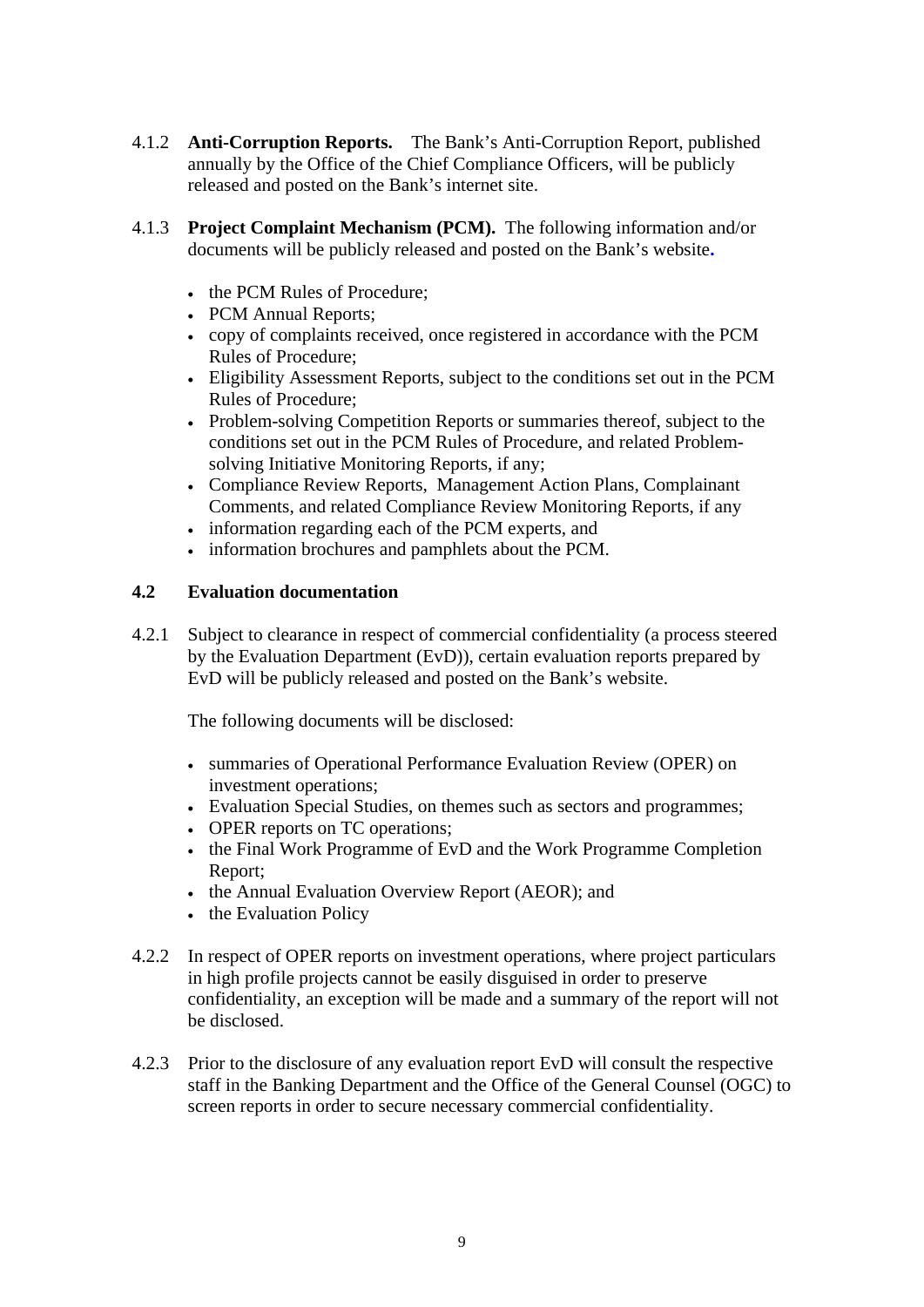- 4.1.2 **Anti-Corruption Reports.** The Bank's Anti-Corruption Report, published annually by the Office of the Chief Compliance Officers, will be publicly released and posted on the Bank's internet site.
- 4.1.3 **Project Complaint Mechanism (PCM).** The following information and/or documents will be publicly released and posted on the Bank's website**.** 
	- the PCM Rules of Procedure:
	- PCM Annual Reports;
	- copy of complaints received, once registered in accordance with the PCM Rules of Procedure;
	- Eligibility Assessment Reports, subject to the conditions set out in the PCM Rules of Procedure;
	- Problem-solving Competition Reports or summaries thereof, subject to the conditions set out in the PCM Rules of Procedure, and related Problemsolving Initiative Monitoring Reports, if any;
	- Compliance Review Reports, Management Action Plans, Complainant Comments, and related Compliance Review Monitoring Reports, if any
	- information regarding each of the PCM experts, and
	- information brochures and pamphlets about the PCM.

## **4.2 Evaluation documentation**

4.2.1 Subject to clearance in respect of commercial confidentiality (a process steered by the Evaluation Department (EvD)), certain evaluation reports prepared by EvD will be publicly released and posted on the Bank's website.

The following documents will be disclosed:

- summaries of Operational Performance Evaluation Review (OPER) on investment operations;
- Evaluation Special Studies, on themes such as sectors and programmes;
- OPER reports on TC operations;
- the Final Work Programme of EvD and the Work Programme Completion Report;
- the Annual Evaluation Overview Report (AEOR); and
- the Evaluation Policy
- 4.2.2 In respect of OPER reports on investment operations, where project particulars in high profile projects cannot be easily disguised in order to preserve confidentiality, an exception will be made and a summary of the report will not be disclosed.
- 4.2.3 Prior to the disclosure of any evaluation report EvD will consult the respective staff in the Banking Department and the Office of the General Counsel (OGC) to screen reports in order to secure necessary commercial confidentiality.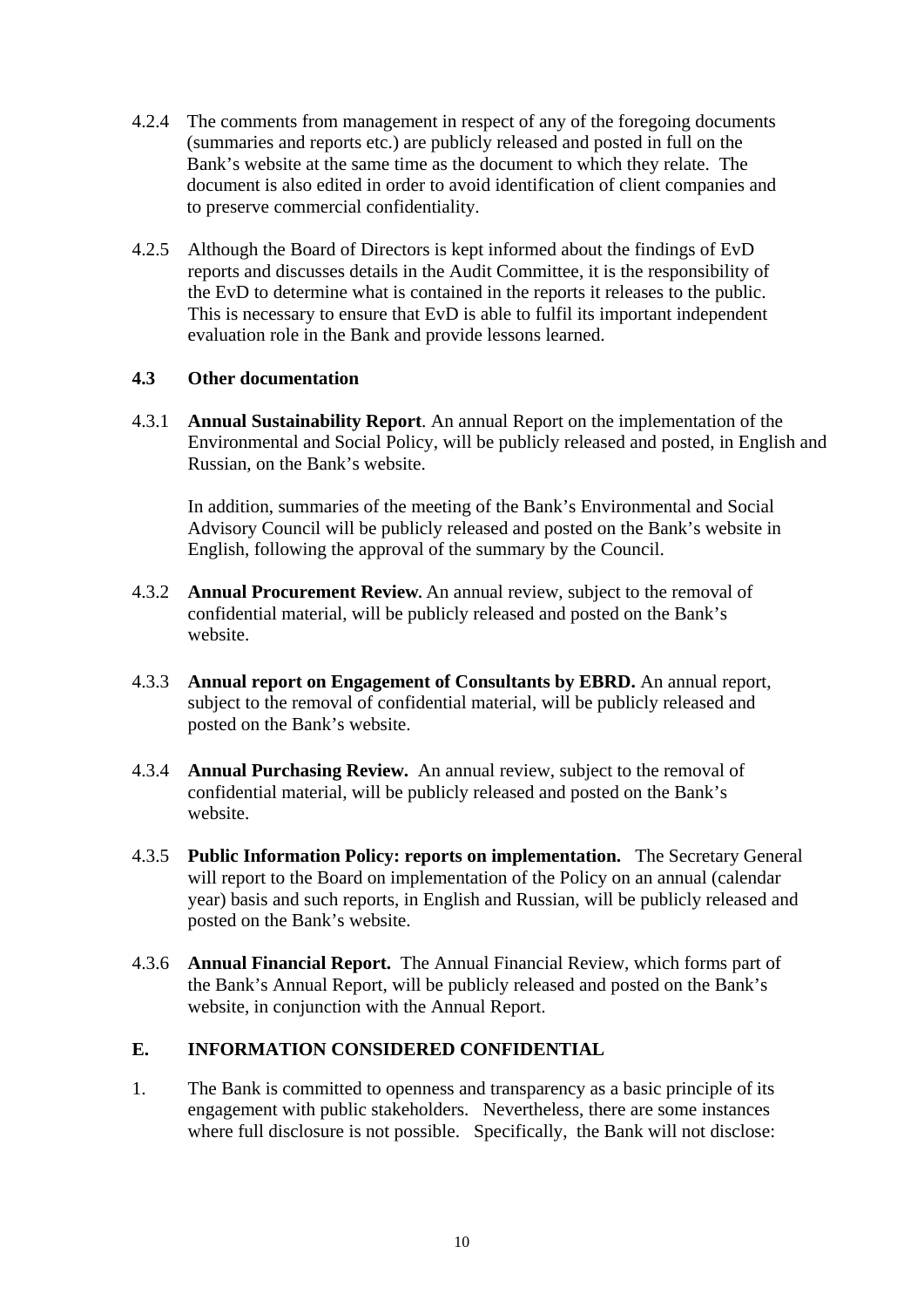- 4.2.4 The comments from management in respect of any of the foregoing documents (summaries and reports etc.) are publicly released and posted in full on the Bank's website at the same time as the document to which they relate. The document is also edited in order to avoid identification of client companies and to preserve commercial confidentiality.
- 4.2.5 Although the Board of Directors is kept informed about the findings of EvD reports and discusses details in the Audit Committee, it is the responsibility of the EvD to determine what is contained in the reports it releases to the public. This is necessary to ensure that EvD is able to fulfil its important independent evaluation role in the Bank and provide lessons learned.

## **4.3 Other documentation**

4.3.1 **Annual Sustainability Report**. An annual Report on the implementation of the Environmental and Social Policy, will be publicly released and posted, in English and Russian, on the Bank's website.

In addition, summaries of the meeting of the Bank's Environmental and Social Advisory Council will be publicly released and posted on the Bank's website in English, following the approval of the summary by the Council.

- 4.3.2 **Annual Procurement Review.** An annual review, subject to the removal of confidential material, will be publicly released and posted on the Bank's website.
- 4.3.3 **Annual report on Engagement of Consultants by EBRD.** An annual report, subject to the removal of confidential material, will be publicly released and posted on the Bank's website.
- 4.3.4 **Annual Purchasing Review.** An annual review, subject to the removal of confidential material, will be publicly released and posted on the Bank's website.
- 4.3.5 **Public Information Policy: reports on implementation.** The Secretary General will report to the Board on implementation of the Policy on an annual (calendar year) basis and such reports, in English and Russian, will be publicly released and posted on the Bank's website.
- 4.3.6 **Annual Financial Report.** The Annual Financial Review, which forms part of the Bank's Annual Report, will be publicly released and posted on the Bank's website, in conjunction with the Annual Report.

## <span id="page-12-0"></span>**E. INFORMATION CONSIDERED CONFIDENTIAL**

1. The Bank is committed to openness and transparency as a basic principle of its engagement with public stakeholders. Nevertheless, there are some instances where full disclosure is not possible. Specifically, the Bank will not disclose: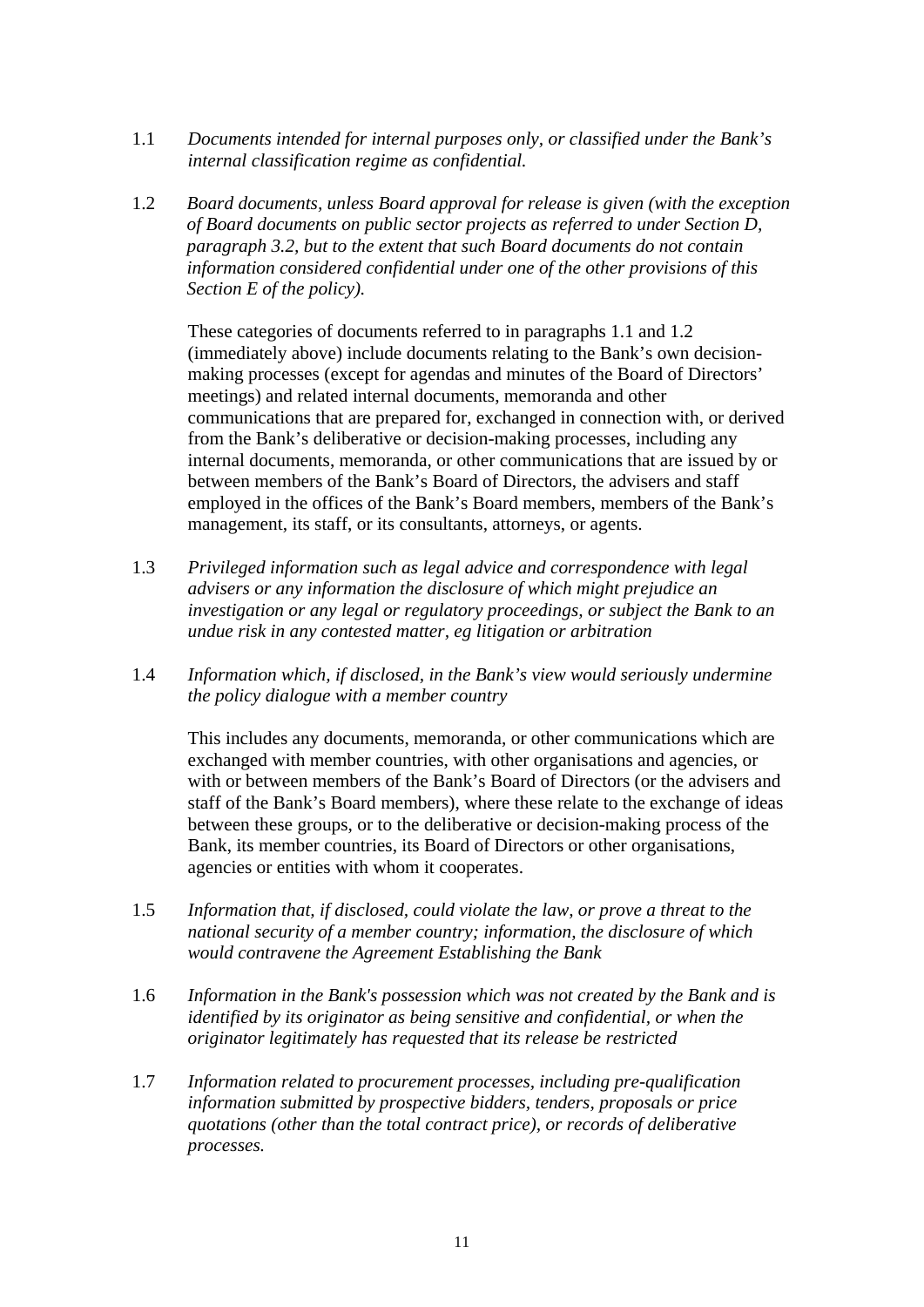- 1.1 *Documents intended for internal purposes only, or classified under the Bank's internal classification regime as confidential.*
- 1.2 *Board documents, unless Board approval for release is given (with the exception of Board documents on public sector projects as referred to under Section D, paragraph 3.2, but to the extent that such Board documents do not contain information considered confidential under one of the other provisions of this Section E of the policy).*

 These categories of documents referred to in paragraphs 1.1 and 1.2 (immediately above) include documents relating to the Bank's own decisionmaking processes (except for agendas and minutes of the Board of Directors' meetings) and related internal documents, memoranda and other communications that are prepared for, exchanged in connection with, or derived from the Bank's deliberative or decision-making processes, including any internal documents, memoranda, or other communications that are issued by or between members of the Bank's Board of Directors, the advisers and staff employed in the offices of the Bank's Board members, members of the Bank's management, its staff, or its consultants, attorneys, or agents.

- 1.3 *Privileged information such as legal advice and correspondence with legal advisers or any information the disclosure of which might prejudice an investigation or any legal or regulatory proceedings, or subject the Bank to an undue risk in any contested matter, eg litigation or arbitration*
- 1.4 *Information which, if disclosed, in the Bank's view would seriously undermine the policy dialogue with a member country*

 This includes any documents, memoranda, or other communications which are exchanged with member countries, with other organisations and agencies, or with or between members of the Bank's Board of Directors (or the advisers and staff of the Bank's Board members), where these relate to the exchange of ideas between these groups, or to the deliberative or decision-making process of the Bank, its member countries, its Board of Directors or other organisations, agencies or entities with whom it cooperates.

- 1.5 *Information that, if disclosed, could violate the law, or prove a threat to the national security of a member country; information, the disclosure of which would contravene the Agreement Establishing the Bank*
- 1.6 *Information in the Bank's possession which was not created by the Bank and is identified by its originator as being sensitive and confidential, or when the originator legitimately has requested that its release be restricted*
- 1.7 *Information related to procurement processes, including pre-qualification information submitted by prospective bidders, tenders, proposals or price quotations (other than the total contract price), or records of deliberative processes.*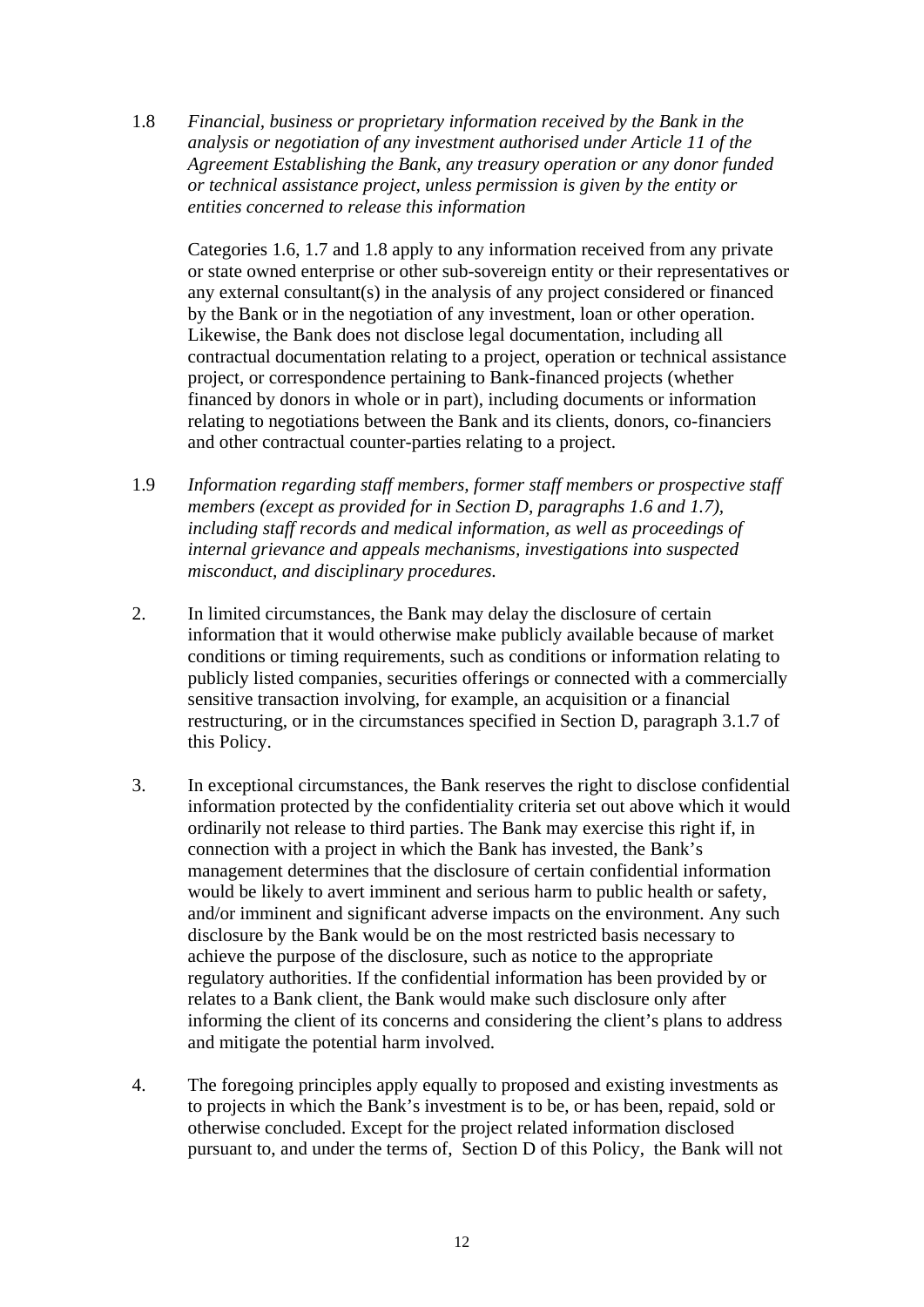1.8 *Financial, business or proprietary information received by the Bank in the analysis or negotiation of any investment authorised under Article 11 of the Agreement Establishing the Bank, any treasury operation or any donor funded or technical assistance project, unless permission is given by the entity or entities concerned to release this information* 

 Categories 1.6, 1.7 and 1.8 apply to any information received from any private or state owned enterprise or other sub-sovereign entity or their representatives or any external consultant(s) in the analysis of any project considered or financed by the Bank or in the negotiation of any investment, loan or other operation. Likewise, the Bank does not disclose legal documentation, including all contractual documentation relating to a project, operation or technical assistance project, or correspondence pertaining to Bank-financed projects (whether financed by donors in whole or in part), including documents or information relating to negotiations between the Bank and its clients, donors, co-financiers and other contractual counter-parties relating to a project.

- 1.9 *Information regarding staff members, former staff members or prospective staff members (except as provided for in Section D, paragraphs 1.6 and 1.7), including staff records and medical information, as well as proceedings of internal grievance and appeals mechanisms, investigations into suspected misconduct, and disciplinary procedures.*
- 2. In limited circumstances, the Bank may delay the disclosure of certain information that it would otherwise make publicly available because of market conditions or timing requirements, such as conditions or information relating to publicly listed companies, securities offerings or connected with a commercially sensitive transaction involving, for example, an acquisition or a financial restructuring, or in the circumstances specified in Section D, paragraph 3.1.7 of this Policy.
- 3. In exceptional circumstances, the Bank reserves the right to disclose confidential information protected by the confidentiality criteria set out above which it would ordinarily not release to third parties. The Bank may exercise this right if, in connection with a project in which the Bank has invested, the Bank's management determines that the disclosure of certain confidential information would be likely to avert imminent and serious harm to public health or safety, and/or imminent and significant adverse impacts on the environment. Any such disclosure by the Bank would be on the most restricted basis necessary to achieve the purpose of the disclosure, such as notice to the appropriate regulatory authorities. If the confidential information has been provided by or relates to a Bank client, the Bank would make such disclosure only after informing the client of its concerns and considering the client's plans to address and mitigate the potential harm involved.
- 4. The foregoing principles apply equally to proposed and existing investments as to projects in which the Bank's investment is to be, or has been, repaid, sold or otherwise concluded. Except for the project related information disclosed pursuant to, and under the terms of, Section D of this Policy, the Bank will not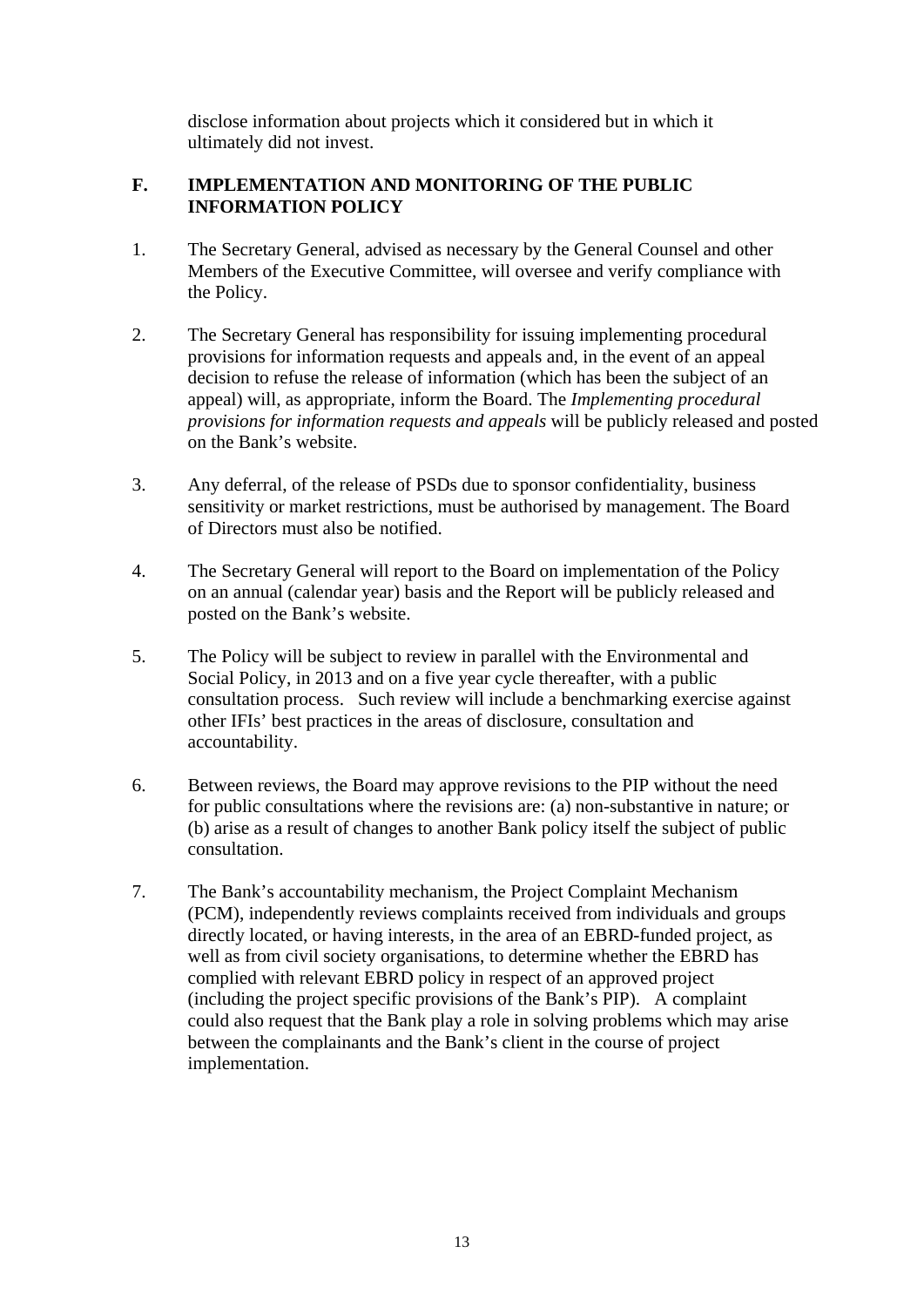disclose information about projects which it considered but in which it ultimately did not invest.

## <span id="page-15-0"></span>**F. IMPLEMENTATION AND MONITORING OF THE PUBLIC INFORMATION POLICY**

- 1. The Secretary General, advised as necessary by the General Counsel and other Members of the Executive Committee, will oversee and verify compliance with the Policy.
- 2. The Secretary General has responsibility for issuing implementing procedural provisions for information requests and appeals and, in the event of an appeal decision to refuse the release of information (which has been the subject of an appeal) will, as appropriate, inform the Board. The *Implementing procedural provisions for information requests and appeals* will be publicly released and posted on the Bank's website.
- 3. Any deferral, of the release of PSDs due to sponsor confidentiality, business sensitivity or market restrictions, must be authorised by management. The Board of Directors must also be notified.
- 4. The Secretary General will report to the Board on implementation of the Policy on an annual (calendar year) basis and the Report will be publicly released and posted on the Bank's website.
- 5. The Policy will be subject to review in parallel with the Environmental and Social Policy, in 2013 and on a five year cycle thereafter, with a public consultation process. Such review will include a benchmarking exercise against other IFIs' best practices in the areas of disclosure, consultation and accountability.
- 6. Between reviews, the Board may approve revisions to the PIP without the need for public consultations where the revisions are: (a) non-substantive in nature; or (b) arise as a result of changes to another Bank policy itself the subject of public consultation.
- 7. The Bank's accountability mechanism, the Project Complaint Mechanism (PCM), independently reviews complaints received from individuals and groups directly located, or having interests, in the area of an EBRD-funded project, as well as from civil society organisations, to determine whether the EBRD has complied with relevant EBRD policy in respect of an approved project (including the project specific provisions of the Bank's PIP). A complaint could also request that the Bank play a role in solving problems which may arise between the complainants and the Bank's client in the course of project implementation.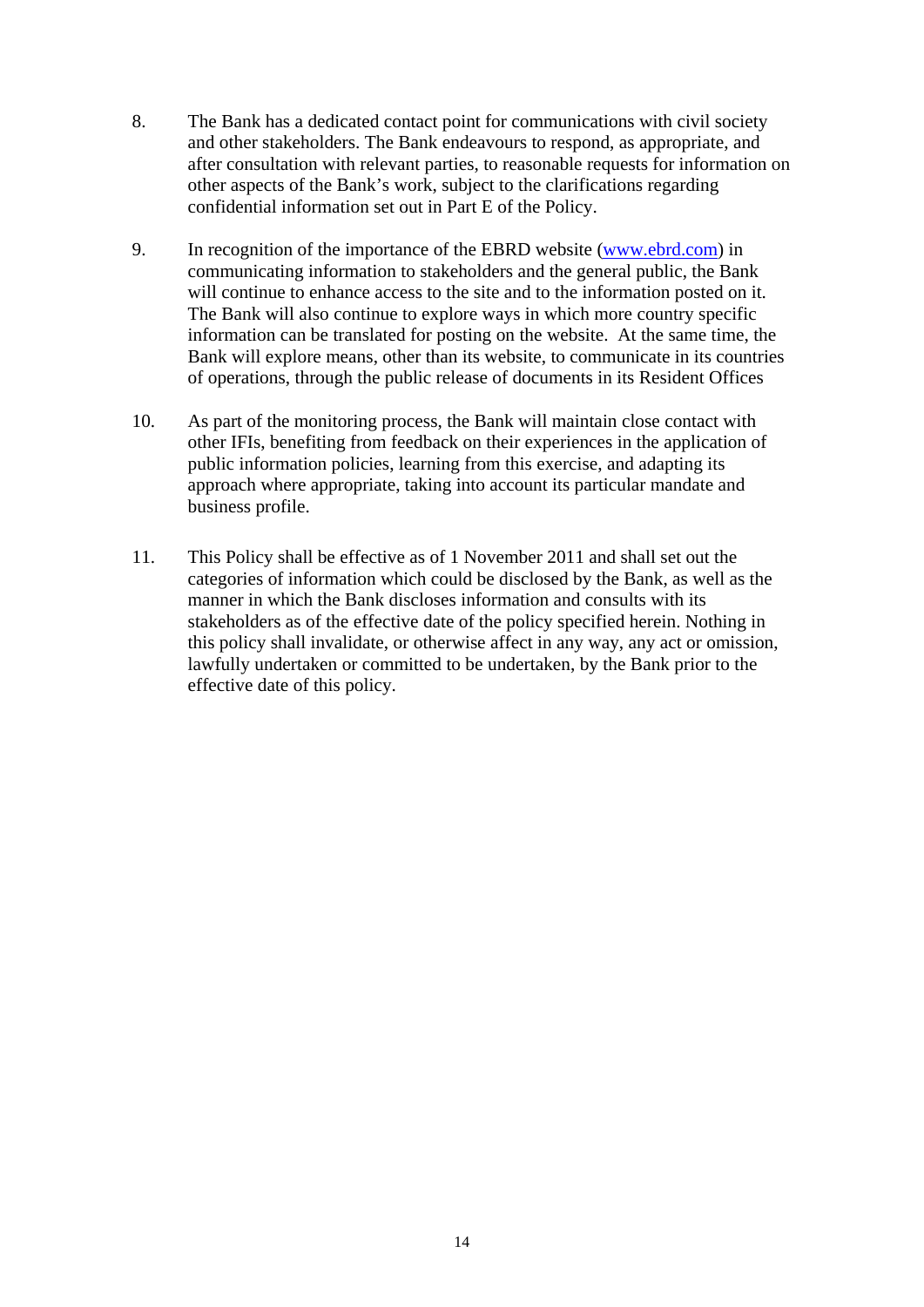- 8. The Bank has a dedicated contact point for communications with civil society and other stakeholders. The Bank endeavours to respond, as appropriate, and after consultation with relevant parties, to reasonable requests for information on other aspects of the Bank's work, subject to the clarifications regarding confidential information set out in Part E of the Policy.
- 9. In recognition of the importance of the EBRD website ([www.ebrd.com\)](http://www.ebrd.com/) in communicating information to stakeholders and the general public, the Bank will continue to enhance access to the site and to the information posted on it. The Bank will also continue to explore ways in which more country specific information can be translated for posting on the website. At the same time, the Bank will explore means, other than its website, to communicate in its countries of operations, through the public release of documents in its Resident Offices
- 10. As part of the monitoring process, the Bank will maintain close contact with other IFIs, benefiting from feedback on their experiences in the application of public information policies, learning from this exercise, and adapting its approach where appropriate, taking into account its particular mandate and business profile.
- 11. This Policy shall be effective as of 1 November 2011 and shall set out the categories of information which could be disclosed by the Bank, as well as the manner in which the Bank discloses information and consults with its stakeholders as of the effective date of the policy specified herein. Nothing in this policy shall invalidate, or otherwise affect in any way, any act or omission, lawfully undertaken or committed to be undertaken, by the Bank prior to the effective date of this policy.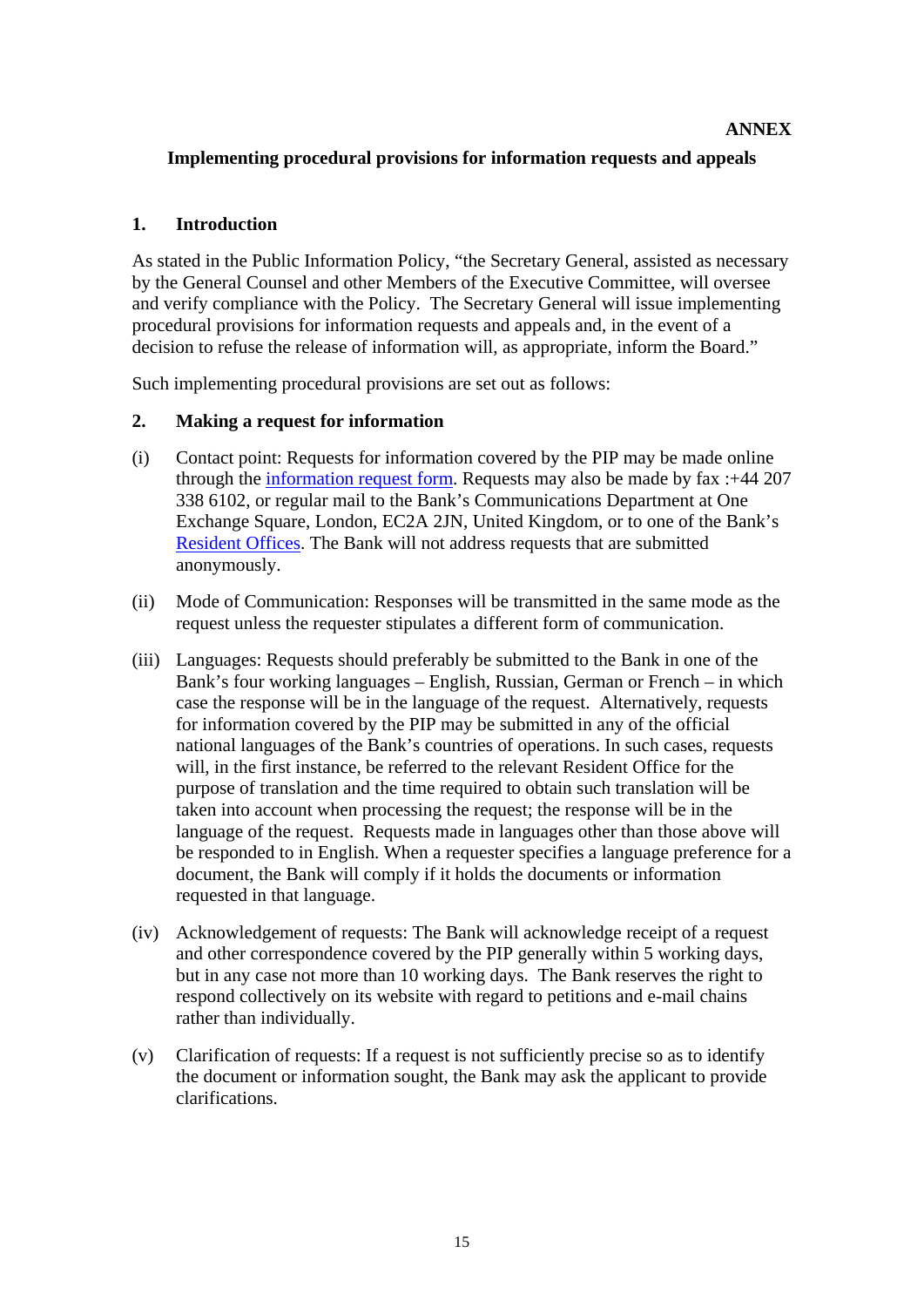## **Implementing procedural provisions for information requests and appeals**

#### <span id="page-17-0"></span>**1. Introduction**

As stated in the Public Information Policy, "the Secretary General, assisted as necessary by the General Counsel and other Members of the Executive Committee, will oversee and verify compliance with the Policy. The Secretary General will issue implementing procedural provisions for information requests and appeals and, in the event of a decision to refuse the release of information will, as appropriate, inform the Board."

Such implementing procedural provisions are set out as follows:

#### **2. Making a request for information**

- (i) Contact point: Requests for information covered by the PIP may be made online through the [information request form](http://www.ebrd.com/about/contacts/pipform.htm). Requests may also be made by fax :+44 207 338 6102, or regular mail to the Bank's Communications Department at One Exchange Square, London, EC2A 2JN, United Kingdom, or to one of the Bank's [Resident Offices.](http://www.ebrd.com/about/contacts/local.htm) The Bank will not address requests that are submitted anonymously.
- (ii) Mode of Communication: Responses will be transmitted in the same mode as the request unless the requester stipulates a different form of communication.
- (iii) Languages: Requests should preferably be submitted to the Bank in one of the Bank's four working languages – English, Russian, German or French – in which case the response will be in the language of the request. Alternatively, requests for information covered by the PIP may be submitted in any of the official national languages of the Bank's countries of operations. In such cases, requests will, in the first instance, be referred to the relevant Resident Office for the purpose of translation and the time required to obtain such translation will be taken into account when processing the request; the response will be in the language of the request. Requests made in languages other than those above will be responded to in English. When a requester specifies a language preference for a document, the Bank will comply if it holds the documents or information requested in that language.
- (iv) Acknowledgement of requests: The Bank will acknowledge receipt of a request and other correspondence covered by the PIP generally within 5 working days, but in any case not more than 10 working days. The Bank reserves the right to respond collectively on its website with regard to petitions and e-mail chains rather than individually.
- (v) Clarification of requests: If a request is not sufficiently precise so as to identify the document or information sought, the Bank may ask the applicant to provide clarifications.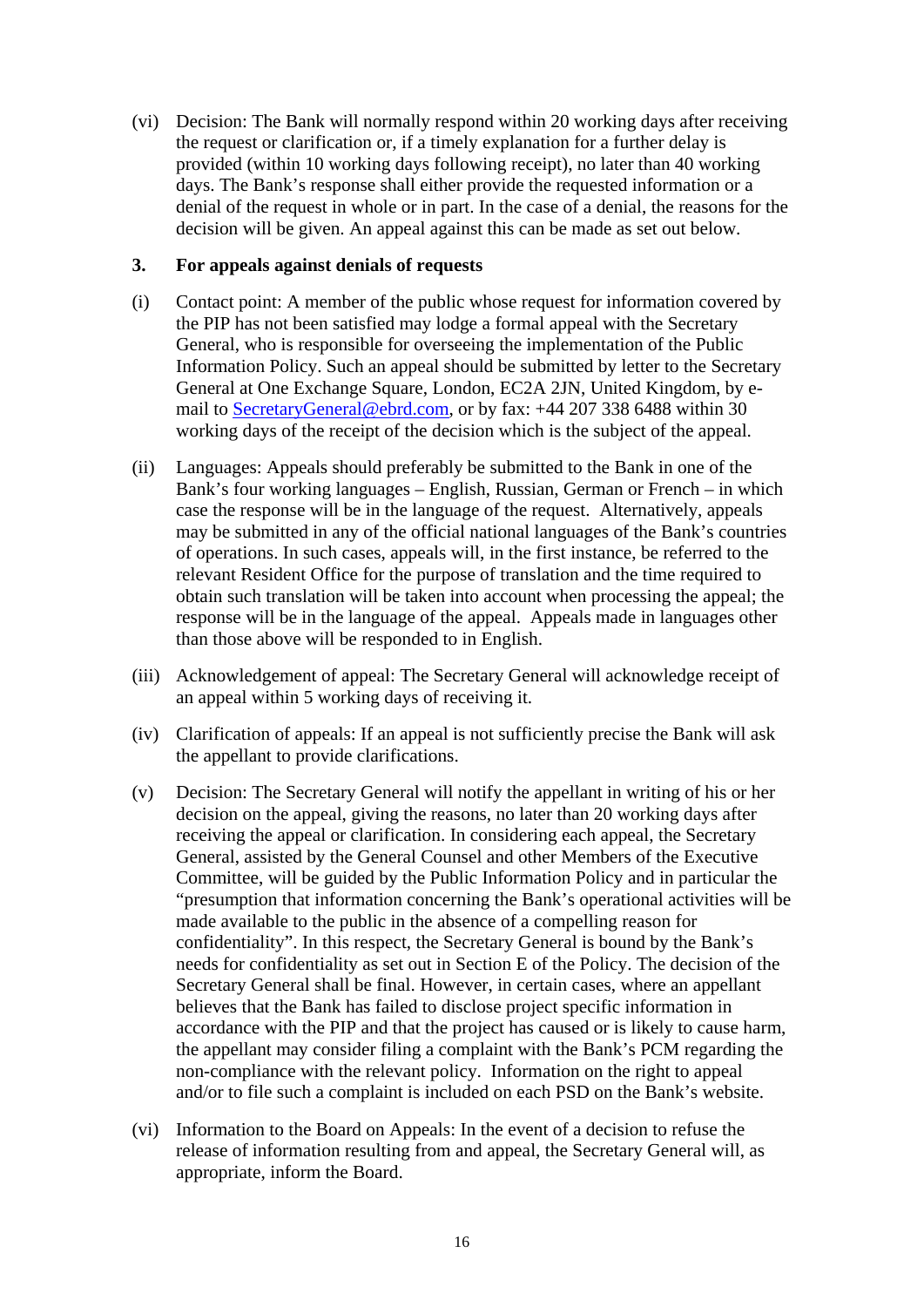(vi) Decision: The Bank will normally respond within 20 working days after receiving the request or clarification or, if a timely explanation for a further delay is provided (within 10 working days following receipt), no later than 40 working days. The Bank's response shall either provide the requested information or a denial of the request in whole or in part. In the case of a denial, the reasons for the decision will be given. An appeal against this can be made as set out below.

#### **3. For appeals against denials of requests**

- (i) Contact point: A member of the public whose request for information covered by the PIP has not been satisfied may lodge a formal appeal with the Secretary General, who is responsible for overseeing the implementation of the Public Information Policy. Such an appeal should be submitted by letter to the Secretary General at One Exchange Square, London, EC2A 2JN, United Kingdom, by email to [SecretaryGeneral@ebrd.com,](mailto:SecretaryGeneral@ebrd.com) or by fax: +44 207 338 6488 within 30 working days of the receipt of the decision which is the subject of the appeal.
- (ii) Languages: Appeals should preferably be submitted to the Bank in one of the Bank's four working languages – English, Russian, German or French – in which case the response will be in the language of the request. Alternatively, appeals may be submitted in any of the official national languages of the Bank's countries of operations. In such cases, appeals will, in the first instance, be referred to the relevant Resident Office for the purpose of translation and the time required to obtain such translation will be taken into account when processing the appeal; the response will be in the language of the appeal. Appeals made in languages other than those above will be responded to in English.
- (iii) Acknowledgement of appeal: The Secretary General will acknowledge receipt of an appeal within 5 working days of receiving it.
- (iv) Clarification of appeals: If an appeal is not sufficiently precise the Bank will ask the appellant to provide clarifications.
- (v) Decision: The Secretary General will notify the appellant in writing of his or her decision on the appeal, giving the reasons, no later than 20 working days after receiving the appeal or clarification. In considering each appeal, the Secretary General, assisted by the General Counsel and other Members of the Executive Committee, will be guided by the Public Information Policy and in particular the "presumption that information concerning the Bank's operational activities will be made available to the public in the absence of a compelling reason for confidentiality". In this respect, the Secretary General is bound by the Bank's needs for confidentiality as set out in Section E of the Policy. The decision of the Secretary General shall be final. However, in certain cases, where an appellant believes that the Bank has failed to disclose project specific information in accordance with the PIP and that the project has caused or is likely to cause harm, the appellant may consider filing a complaint with the Bank's PCM regarding the non-compliance with the relevant policy. Information on the right to appeal and/or to file such a complaint is included on each PSD on the Bank's website.
- (vi) Information to the Board on Appeals: In the event of a decision to refuse the release of information resulting from and appeal, the Secretary General will, as appropriate, inform the Board.